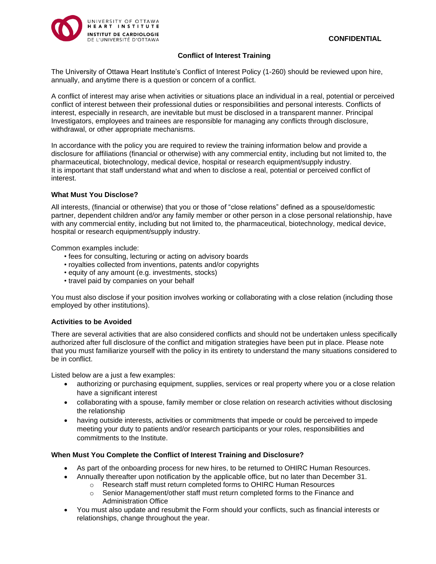

### **Conflict of Interest Training**

The University of Ottawa Heart Institute's Conflict of Interest Policy (1-260) should be reviewed upon hire, annually, and anytime there is a question or concern of a conflict.

A conflict of interest may arise when activities or situations place an individual in a real, potential or perceived conflict of interest between their professional duties or responsibilities and personal interests. Conflicts of interest, especially in research, are inevitable but must be disclosed in a transparent manner. Principal Investigators, employees and trainees are responsible for managing any conflicts through disclosure, withdrawal, or other appropriate mechanisms.

In accordance with the policy you are required to review the training information below and provide a disclosure for affiliations (financial or otherwise) with any commercial entity, including but not limited to, the pharmaceutical, biotechnology, medical device, hospital or research equipment/supply industry. It is important that staff understand what and when to disclose a real, potential or perceived conflict of interest.

### **What Must You Disclose?**

All interests, (financial or otherwise) that you or those of "close relations" defined as a spouse/domestic partner, dependent children and/or any family member or other person in a close personal relationship, have with any commercial entity, including but not limited to, the pharmaceutical, biotechnology, medical device, hospital or research equipment/supply industry.

Common examples include:

- fees for consulting, lecturing or acting on advisory boards
- royalties collected from inventions, patents and/or copyrights
- equity of any amount (e.g. investments, stocks)
- travel paid by companies on your behalf

You must also disclose if your position involves working or collaborating with a close relation (including those employed by other institutions).

### **Activities to be Avoided**

There are several activities that are also considered conflicts and should not be undertaken unless specifically authorized after full disclosure of the conflict and mitigation strategies have been put in place. Please note that you must familiarize yourself with the policy in its entirety to understand the many situations considered to be in conflict.

Listed below are a just a few examples:

- authorizing or purchasing equipment, supplies, services or real property where you or a close relation have a significant interest
- collaborating with a spouse, family member or close relation on research activities without disclosing the relationship
- having outside interests, activities or commitments that impede or could be perceived to impede meeting your duty to patients and/or research participants or your roles, responsibilities and commitments to the Institute.

### **When Must You Complete the Conflict of Interest Training and Disclosure?**

- As part of the onboarding process for new hires, to be returned to OHIRC Human Resources.
- Annually thereafter upon notification by the applicable office, but no later than December 31.
	- o Research staff must return completed forms to OHIRC Human Resources
	- o Senior Management/other staff must return completed forms to the Finance and Administration Office
- You must also update and resubmit the Form should your conflicts, such as financial interests or relationships, change throughout the year.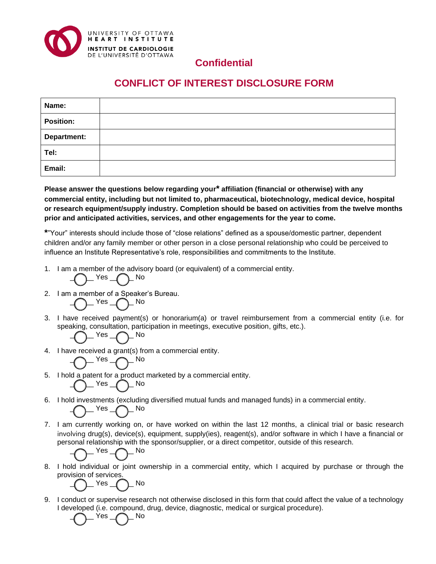

## **Confidential**

# **CONFLICT OF INTEREST DISCLOSURE FORM**

| Name:              |  |
|--------------------|--|
| <b>Position:</b>   |  |
| <b>Department:</b> |  |
| Tel:               |  |
| Email:             |  |

**Please answer the questions below regarding your\* affiliation (financial or otherwise) with any commercial entity, including but not limited to, pharmaceutical, biotechnology, medical device, hospital or research equipment/supply industry. Completion should be based on activities from the twelve months prior and anticipated activities, services, and other engagements for the year to come.**

**\***"Your" interests should include those of "close relations" defined as a spouse/domestic partner, dependent children and/or any family member or other person in a close personal relationship who could be perceived to influence an Institute Representative's role, responsibilities and commitments to the Institute.

1. I am a member of the advisory board (or equivalent) of a commercial entity.

 $Yes \nightharpoonup$  No

2. I am a member of a Speaker's Bureau.

$$
-O^{-\rm Yes} - O^{-\rm No}
$$

3. I have received payment(s) or honorarium(a) or travel reimbursement from a commercial entity (i.e. for speaking, consultation, participation in meetings, executive position, gifts, etc.).  $\sum$  Yes  $\bigcap$  No

$$
-C_{\text{max}}-C_{\text{max}}
$$

4. I have received a grant(s) from a commercial entity.

$$
\bigodot\neg^\mathsf{Yes} \neg \bigodot\neg^\mathsf{No}
$$

- 5. I hold a patent for a product marketed by a commercial entity.  $\_$  Yes  $\_$   $\frown$  No
- 6. I hold investments (excluding diversified mutual funds and managed funds) in a commercial entity.
- 7. I am currently working on, or have worked on within the last 12 months, a clinical trial or basic research involving drug(s), device(s), equipment, supply(ies), reagent(s), and/or software in which I have a financial or personal relationship with the sponsor/supplier, or a direct competitor, outside of this research.

$$
\bigodot\nolimits^{\mathsf{Yes}}\bigodot\nolimits^{\mathsf{No}}
$$

 $\_$  Yes  $\_$  No

8. I hold individual or joint ownership in a commercial entity, which I acquired by purchase or through the provision of services.

$$
\overline{O}^{-\text{Yes}}\overline{O}^{-\text{No}}
$$

9. I conduct or supervise research not otherwise disclosed in this form that could affect the value of a technology I developed (i.e. compound, drug, device, diagnostic, medical or surgical procedure).